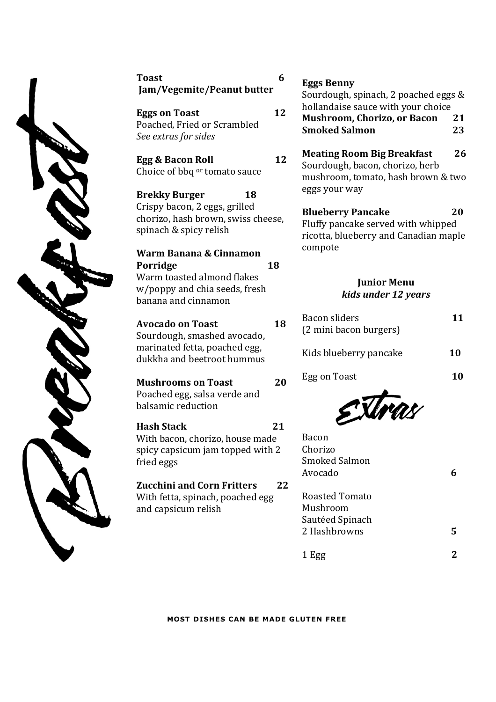

Toast 6 Jam/Vegemite/Peanut butter

**Eggs on Toast 12** Poached, Fried or Scrambled *See extras for sides* 

Choice of bbq  $0r$  tomato sauce

**Brekky Burger** 18 Crispy bacon, 2 eggs, grilled chorizo, hash brown, swiss cheese, spinach & spicy relish

**Warm Banana & Cinnamon Porridge 18** Warm toasted almond flakes w/poppy and chia seeds, fresh banana and cinnamon

**Avocado on Toast 18** Sourdough, smashed avocado, marinated fetta, poached egg, dukkha and beetroot hummus

**Mushrooms on Toast** 20 Poached egg, salsa verde and balsamic reduction 

**Hash Stack 21**  With bacon, chorizo, house made spicy capsicum jam topped with 2 fried eggs 

**Zucchini and Corn Fritters** 22 With fetta, spinach, poached egg and capsicum relish

# Eggs Benny

Sourdough, spinach, 2 poached eggs  $&$ hollandaise sauce with your choice **Mushroom, Chorizo, or Bacon** 21 **Smoked Salmon 23**

**Egg & Bacon Roll 12 Meating Room Big Breakfast** Sourdough, bacon, chorizo, herb mushroom, tomato, hash brown & two eggs your way

> **Blueberry Pancake** 20 Fluffy pancake served with whipped ricotta, blueberry and Canadian maple compote

## *<u>Iunior Menu</u> kids under 12 years*

| Bacon sliders<br>(2 mini bacon burgers) | 11 |
|-----------------------------------------|----|
| Kids blueberry pancake                  | 10 |
| Egg on Toast                            | 10 |
|                                         |    |

| <b>Bacon</b><br>Chorizo<br><b>Smoked Salmon</b><br>Avocado           | 6            |  |
|----------------------------------------------------------------------|--------------|--|
| <b>Roasted Tomato</b><br>Mushroom<br>Sautéed Spinach<br>2 Hashbrowns | 5            |  |
| 1 Egg                                                                | $\mathbf{2}$ |  |

**MOST DISHES CAN BE MADE GLUTEN FREE**